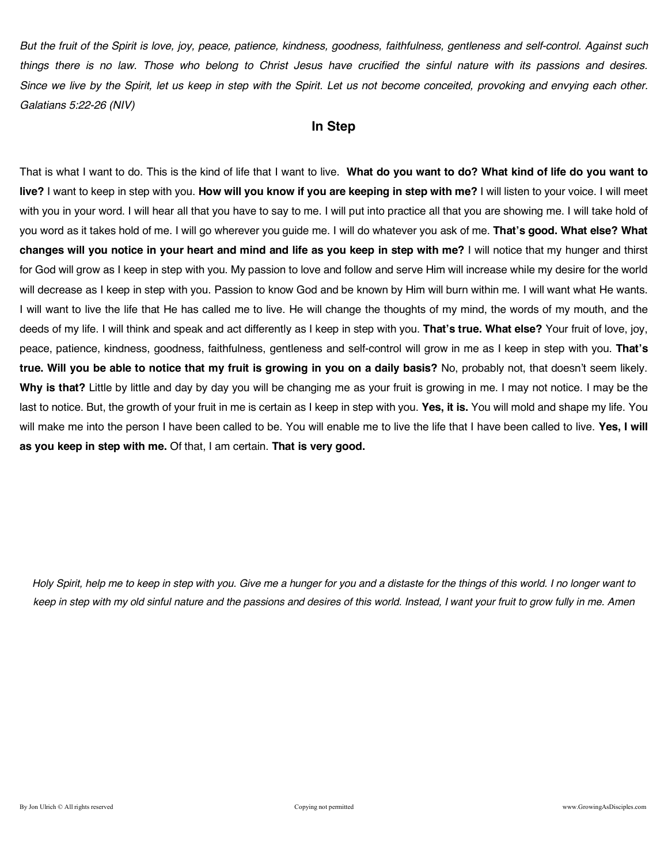*But the fruit of the Spirit is love, joy, peace, patience, kindness, goodness, faithfulness, gentleness and self-control. Against such things there is no law. Those who belong to Christ Jesus have crucified the sinful nature with its passions and desires. Since we live by the Spirit, let us keep in step with the Spirit. Let us not become conceited, provoking and envying each other. Galatians 5:22-26 (NIV)*

### **In Step**

That is what I want to do. This is the kind of life that I want to live. **What do you want to do? What kind of life do you want to live?** I want to keep in step with you. **How will you know if you are keeping in step with me?** I will listen to your voice. I will meet with you in your word. I will hear all that you have to say to me. I will put into practice all that you are showing me. I will take hold of you word as it takes hold of me. I will go wherever you guide me. I will do whatever you ask of me. **That's good. What else? What changes will you notice in your heart and mind and life as you keep in step with me?** I will notice that my hunger and thirst for God will grow as I keep in step with you. My passion to love and follow and serve Him will increase while my desire for the world will decrease as I keep in step with you. Passion to know God and be known by Him will burn within me. I will want what He wants. I will want to live the life that He has called me to live. He will change the thoughts of my mind, the words of my mouth, and the deeds of my life. I will think and speak and act differently as I keep in step with you. **That's true. What else?** Your fruit of love, joy, peace, patience, kindness, goodness, faithfulness, gentleness and self-control will grow in me as I keep in step with you. **That's true. Will you be able to notice that my fruit is growing in you on a daily basis?** No, probably not, that doesn't seem likely. **Why is that?** Little by little and day by day you will be changing me as your fruit is growing in me. I may not notice. I may be the last to notice. But, the growth of your fruit in me is certain as I keep in step with you. **Yes, it is.** You will mold and shape my life. You will make me into the person I have been called to be. You will enable me to live the life that I have been called to live. **Yes, I will as you keep in step with me.** Of that, I am certain. **That is very good.**

*Holy Spirit, help me to keep in step with you. Give me a hunger for you and a distaste for the things of this world. I no longer want to keep in step with my old sinful nature and the passions and desires of this world. Instead, I want your fruit to grow fully in me. Amen*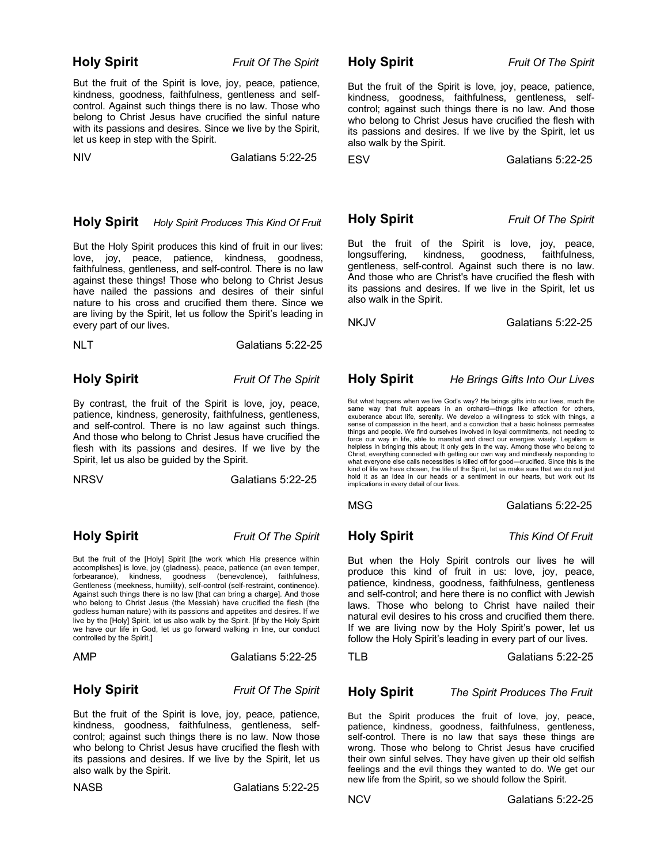But the fruit of the Spirit is love, joy, peace, patience, kindness, goodness, faithfulness, gentleness and selfcontrol. Against such things there is no law. Those who belong to Christ Jesus have crucified the sinful nature with its passions and desires. Since we live by the Spirit, let us keep in step with the Spirit.

NIV Galatians 5:22-25

### **Holy Spirit** *Holy Spirit Produces This Kind Of Fruit*

But the Holy Spirit produces this kind of fruit in our lives: love, joy, peace, patience, kindness, goodness, faithfulness, gentleness, and self-control. There is no law against these things! Those who belong to Christ Jesus have nailed the passions and desires of their sinful nature to his cross and crucified them there. Since we are living by the Spirit, let us follow the Spirit's leading in every part of our lives.

| NLT | Galatians 5:22-25 |
|-----|-------------------|
|     |                   |

**Holy Spirit** *Fruit Of The Spirit*

By contrast, the fruit of the Spirit is love, joy, peace, patience, kindness, generosity, faithfulness, gentleness, and self-control. There is no law against such things. And those who belong to Christ Jesus have crucified the flesh with its passions and desires. If we live by the Spirit, let us also be guided by the Spirit.

NRSV Galatians 5:22-25

**Holy Spirit** *Fruit Of The Spirit*

But the fruit of the [Holy] Spirit [the work which His presence within accomplishes] is love, joy (gladness), peace, patience (an even temper, forbearance), kindness, goodness (benevolence), faithfulness, Gentleness (meekness, humility), self-control (self-restraint, continence). Against such things there is no law [that can bring a charge]. And those who belong to Christ Jesus (the Messiah) have crucified the flesh (the godless human nature) with its passions and appetites and desires. If we live by the [Holy] Spirit, let us also walk by the Spirit. [If by the Holy Spirit we have our life in God, let us go forward walking in line, our conduct controlled by the Spirit.]

AMPGalatians 5:22-25

**Holy Spirit** *Fruit Of The Spirit*

But the fruit of the Spirit is love, joy, peace, patience, kindness, goodness, faithfulness, gentleness, selfcontrol; against such things there is no law. Now those who belong to Christ Jesus have crucified the flesh with its passions and desires. If we live by the Spirit, let us also walk by the Spirit.

NASBGalatians 5:22-25

**Holy Spirit** *Fruit Of The Spirit*

But the fruit of the Spirit is love, joy, peace, patience, kindness, goodness, faithfulness, gentleness, selfcontrol; against such things there is no law. And those who belong to Christ Jesus have crucified the flesh with its passions and desires. If we live by the Spirit, let us also walk by the Spirit.

ESV Galatians 5:22-25

**Holy Spirit** *Fruit Of The Spirit*

But the fruit of the Spirit is love, joy, peace, longsuffering, kindness, goodness, faithfulness, gentleness, self-control. Against such there is no law. And those who are Christ's have crucified the flesh with its passions and desires. If we live in the Spirit, let us also walk in the Spirit.

NKJV Galatians 5:22-25

### **Holy Spirit** *He Brings Gifts Into Our Lives*

But what happens when we live God's way? He brings gifts into our lives, much the same way that fruit appears in an orchard—things like affection for others, exuberance about life, serenity. We develop a willingness to stick with things, a sense of compassion in the heart, and a conviction that a basic holiness permeates things and people. We find ourselves involved in loyal commitments, not needing to force our way in life, able to marshal and direct our energies wisely. Legalism is helpless in bringing this about; it only gets in the way. Among those who belong to Christ, everything connected with getting our own way and mindlessly responding to what everyone else calls necessities is killed off for good—crucified. Since this is the kind of life we have chosen, the life of the Spirit, let us make sure that we do not just hold it as an idea in our heads or a sentiment in our hearts, but work out its implications in every detail of our lives.

**Holy Spirit** *This Kind Of Fruit*

But when the Holy Spirit controls our lives he will produce this kind of fruit in us: love, joy, peace, patience, kindness, goodness, faithfulness, gentleness and self-control; and here there is no conflict with Jewish laws. Those who belong to Christ have nailed their natural evil desires to his cross and crucified them there. If we are living now by the Holy Spirit's power, let us follow the Holy Spirit's leading in every part of our lives.

TLB Galatians 5:22-25

### **Holy Spirit** *The Spirit Produces The Fruit*

But the Spirit produces the fruit of love, joy, peace, patience, kindness, goodness, faithfulness, gentleness, self-control. There is no law that says these things are wrong. Those who belong to Christ Jesus have crucified their own sinful selves. They have given up their old selfish feelings and the evil things they wanted to do. We get our new life from the Spirit, so we should follow the Spirit.

NCV Galatians 5:22-25

MSGGalatians 5:22-25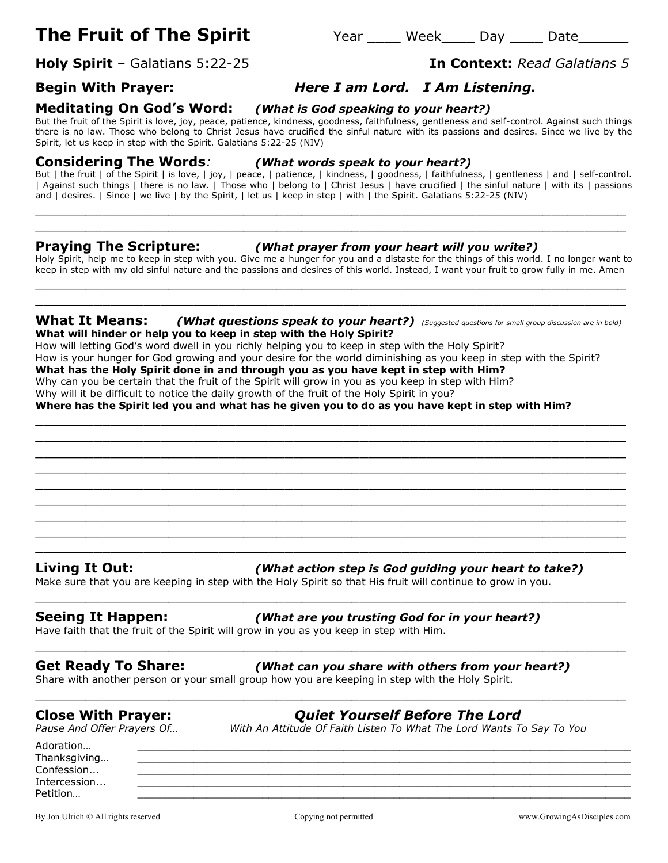# **The Fruit of The Spirit**  $Year$  Week\_\_\_\_ Day \_\_\_\_ Date\_\_\_\_\_\_

**Holy Spirit** – Galatians 5:22-25 **In Context:** *Read Galatians 5*

# **Begin With Prayer:** *Here I am Lord. I Am Listening.*

# **Meditating On God's Word:** *(What is God speaking to your heart?)*

But the fruit of the Spirit is love, joy, peace, patience, kindness, goodness, faithfulness, gentleness and self-control. Against such things there is no law. Those who belong to Christ Jesus have crucified the sinful nature with its passions and desires. Since we live by the Spirit, let us keep in step with the Spirit. Galatians 5:22-25 (NIV)

**Considering The Words***: (What words speak to your heart?)*

But | the fruit | of the Spirit | is love, | joy, | peace, | patience, | kindness, | goodness, | faithfulness, | gentleness | and | self-control. | Against such things | there is no law. | Those who | belong to | Christ Jesus | have crucified | the sinful nature | with its | passions and | desires. | Since | we live | by the Spirit, | let us | keep in step | with | the Spirit. Galatians 5:22-25 (NIV)

\_\_\_\_\_\_\_\_\_\_\_\_\_\_\_\_\_\_\_\_\_\_\_\_\_\_\_\_\_\_\_\_\_\_\_\_\_\_\_\_\_\_\_\_\_\_\_\_\_\_\_\_\_\_\_\_\_\_\_\_\_\_\_\_\_\_\_\_\_\_\_ \_\_\_\_\_\_\_\_\_\_\_\_\_\_\_\_\_\_\_\_\_\_\_\_\_\_\_\_\_\_\_\_\_\_\_\_\_\_\_\_\_\_\_\_\_\_\_\_\_\_\_\_\_\_\_\_\_\_\_\_\_\_\_\_\_\_\_\_\_\_\_

### **Praying The Scripture:** *(What prayer from your heart will you write?)*

Holy Spirit, help me to keep in step with you. Give me a hunger for you and a distaste for the things of this world. I no longer want to keep in step with my old sinful nature and the passions and desires of this world. Instead, I want your fruit to grow fully in me. Amen \_\_\_\_\_\_\_\_\_\_\_\_\_\_\_\_\_\_\_\_\_\_\_\_\_\_\_\_\_\_\_\_\_\_\_\_\_\_\_\_\_\_\_\_\_\_\_\_\_\_\_\_\_\_\_\_\_\_\_\_\_\_\_\_\_\_\_\_\_\_\_

### **What It Means:** *(What questions speak to your heart?) (Suggested questions for small group discussion are in bold)* **What will hinder or help you to keep in step with the Holy Spirit?**

\_\_\_\_\_\_\_\_\_\_\_\_\_\_\_\_\_\_\_\_\_\_\_\_\_\_\_\_\_\_\_\_\_\_\_\_\_\_\_\_\_\_\_\_\_\_\_\_\_\_\_\_\_\_\_\_\_\_\_\_\_\_\_\_\_\_\_\_\_\_\_ \_\_\_\_\_\_\_\_\_\_\_\_\_\_\_\_\_\_\_\_\_\_\_\_\_\_\_\_\_\_\_\_\_\_\_\_\_\_\_\_\_\_\_\_\_\_\_\_\_\_\_\_\_\_\_\_\_\_\_\_\_\_\_\_\_\_\_\_\_\_\_ \_\_\_\_\_\_\_\_\_\_\_\_\_\_\_\_\_\_\_\_\_\_\_\_\_\_\_\_\_\_\_\_\_\_\_\_\_\_\_\_\_\_\_\_\_\_\_\_\_\_\_\_\_\_\_\_\_\_\_\_\_\_\_\_\_\_\_\_\_\_\_ \_\_\_\_\_\_\_\_\_\_\_\_\_\_\_\_\_\_\_\_\_\_\_\_\_\_\_\_\_\_\_\_\_\_\_\_\_\_\_\_\_\_\_\_\_\_\_\_\_\_\_\_\_\_\_\_\_\_\_\_\_\_\_\_\_\_\_\_\_\_\_ \_\_\_\_\_\_\_\_\_\_\_\_\_\_\_\_\_\_\_\_\_\_\_\_\_\_\_\_\_\_\_\_\_\_\_\_\_\_\_\_\_\_\_\_\_\_\_\_\_\_\_\_\_\_\_\_\_\_\_\_\_\_\_\_\_\_\_\_\_\_\_ \_\_\_\_\_\_\_\_\_\_\_\_\_\_\_\_\_\_\_\_\_\_\_\_\_\_\_\_\_\_\_\_\_\_\_\_\_\_\_\_\_\_\_\_\_\_\_\_\_\_\_\_\_\_\_\_\_\_\_\_\_\_\_\_\_\_\_\_\_\_\_ \_\_\_\_\_\_\_\_\_\_\_\_\_\_\_\_\_\_\_\_\_\_\_\_\_\_\_\_\_\_\_\_\_\_\_\_\_\_\_\_\_\_\_\_\_\_\_\_\_\_\_\_\_\_\_\_\_\_\_\_\_\_\_\_\_\_\_\_\_\_\_ \_\_\_\_\_\_\_\_\_\_\_\_\_\_\_\_\_\_\_\_\_\_\_\_\_\_\_\_\_\_\_\_\_\_\_\_\_\_\_\_\_\_\_\_\_\_\_\_\_\_\_\_\_\_\_\_\_\_\_\_\_\_\_\_\_\_\_\_\_\_\_ \_\_\_\_\_\_\_\_\_\_\_\_\_\_\_\_\_\_\_\_\_\_\_\_\_\_\_\_\_\_\_\_\_\_\_\_\_\_\_\_\_\_\_\_\_\_\_\_\_\_\_\_\_\_\_\_\_\_\_\_\_\_\_\_\_\_\_\_\_\_\_

\_\_\_\_\_\_\_\_\_\_\_\_\_\_\_\_\_\_\_\_\_\_\_\_\_\_\_\_\_\_\_\_\_\_\_\_\_\_\_\_\_\_\_\_\_\_\_\_\_\_\_\_\_\_\_\_\_\_\_\_\_\_\_\_\_\_\_\_\_\_\_

\_\_\_\_\_\_\_\_\_\_\_\_\_\_\_\_\_\_\_\_\_\_\_\_\_\_\_\_\_\_\_\_\_\_\_\_\_\_\_\_\_\_\_\_\_\_\_\_\_\_\_\_\_\_\_\_\_\_\_\_\_\_\_\_\_\_\_\_\_\_\_

\_\_\_\_\_\_\_\_\_\_\_\_\_\_\_\_\_\_\_\_\_\_\_\_\_\_\_\_\_\_\_\_\_\_\_\_\_\_\_\_\_\_\_\_\_\_\_\_\_\_\_\_\_\_\_\_\_\_\_\_\_\_\_\_\_\_\_\_\_\_\_

\_\_\_\_\_\_\_\_\_\_\_\_\_\_\_\_\_\_\_\_\_\_\_\_\_\_\_\_\_\_\_\_\_\_\_\_\_\_\_\_\_\_\_\_\_\_\_\_\_\_\_\_\_\_\_\_\_\_\_\_\_\_\_\_\_\_\_\_\_\_\_

How will letting God's word dwell in you richly helping you to keep in step with the Holy Spirit? How is your hunger for God growing and your desire for the world diminishing as you keep in step with the Spirit? **What has the Holy Spirit done in and through you as you have kept in step with Him?** Why can you be certain that the fruit of the Spirit will grow in you as you keep in step with Him? Why will it be difficult to notice the daily growth of the fruit of the Holy Spirit in you?

**Where has the Spirit led you and what has he given you to do as you have kept in step with Him?**

### **Living It Out:** *(What action step is God guiding your heart to take?)*

Make sure that you are keeping in step with the Holy Spirit so that His fruit will continue to grow in you.

### **Seeing It Happen:** *(What are you trusting God for in your heart?)*

Have faith that the fruit of the Spirit will grow in you as you keep in step with Him.

**Get Ready To Share:** *(What can you share with others from your heart?)*

Share with another person or your small group how you are keeping in step with the Holy Spirit.

**Close With Prayer:** *Quiet Yourself Before The Lord Pause And Offer Prayers Of… With An Attitude Of Faith Listen To What The Lord Wants To Say To You*

Adoration… \_\_\_\_\_\_\_\_\_\_\_\_\_\_\_\_\_\_\_\_\_\_\_\_\_\_\_\_\_\_\_\_\_\_\_\_\_\_\_\_\_\_\_\_\_\_\_\_\_\_\_\_\_\_\_\_\_\_\_\_\_\_\_\_\_\_\_\_\_\_\_\_\_\_\_\_\_\_\_ Thanksgiving... Confession... \_\_\_\_\_\_\_\_\_\_\_\_\_\_\_\_\_\_\_\_\_\_\_\_\_\_\_\_\_\_\_\_\_\_\_\_\_\_\_\_\_\_\_\_\_\_\_\_\_\_\_\_\_\_\_\_\_\_\_\_\_\_\_\_\_\_\_\_\_\_\_\_\_\_\_\_\_\_\_ Intercession... \_\_\_\_\_\_\_\_\_\_\_\_\_\_\_\_\_\_\_\_\_\_\_\_\_\_\_\_\_\_\_\_\_\_\_\_\_\_\_\_\_\_\_\_\_\_\_\_\_\_\_\_\_\_\_\_\_\_\_\_\_\_\_\_\_\_\_\_\_\_\_\_\_\_\_\_\_\_\_ Petition… \_\_\_\_\_\_\_\_\_\_\_\_\_\_\_\_\_\_\_\_\_\_\_\_\_\_\_\_\_\_\_\_\_\_\_\_\_\_\_\_\_\_\_\_\_\_\_\_\_\_\_\_\_\_\_\_\_\_\_\_\_\_\_\_\_\_\_\_\_\_\_\_\_\_\_\_\_\_\_

By Jon Ulrich © All rights reserved Copying not permitted www.GrowingAsDisciples.com